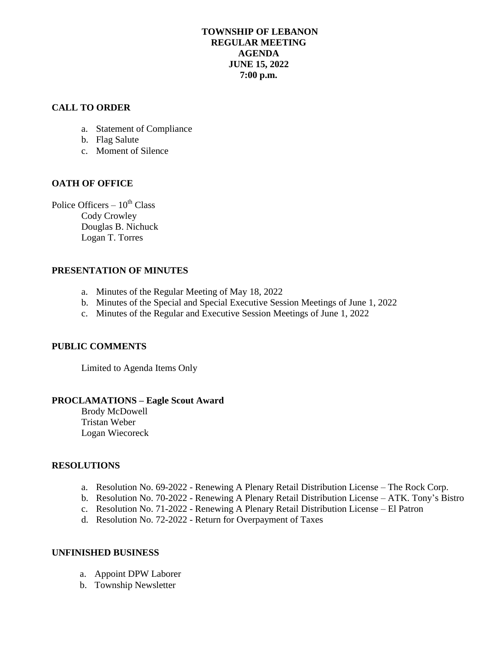## **TOWNSHIP OF LEBANON REGULAR MEETING AGENDA JUNE 15, 2022 7:00 p.m.**

### **CALL TO ORDER**

- a. Statement of Compliance
- b. Flag Salute
- c. Moment of Silence

### **OATH OF OFFICE**

Police Officers  $-10^{th}$  Class Cody Crowley Douglas B. Nichuck Logan T. Torres

#### **PRESENTATION OF MINUTES**

- a. Minutes of the Regular Meeting of May 18, 2022
- b. Minutes of the Special and Special Executive Session Meetings of June 1, 2022
- c. Minutes of the Regular and Executive Session Meetings of June 1, 2022

#### **PUBLIC COMMENTS**

Limited to Agenda Items Only

#### **PROCLAMATIONS – Eagle Scout Award**

Brody McDowell Tristan Weber Logan Wiecoreck

### **RESOLUTIONS**

- a. Resolution No. 69-2022 Renewing A Plenary Retail Distribution License The Rock Corp.
- b. Resolution No. 70-2022 Renewing A Plenary Retail Distribution License ATK. Tony's Bistro
- c. Resolution No. 71-2022 Renewing A Plenary Retail Distribution License El Patron
- d. Resolution No. 72-2022 Return for Overpayment of Taxes

#### **UNFINISHED BUSINESS**

- a. Appoint DPW Laborer
- b. Township Newsletter